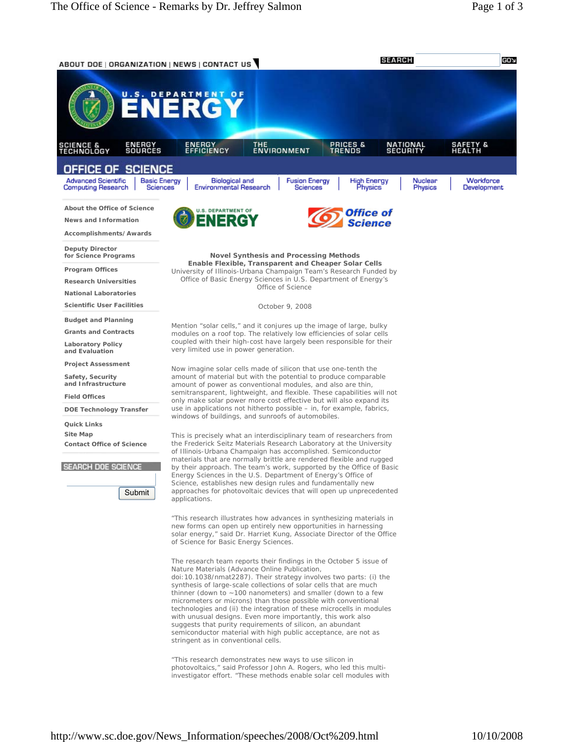

"This research demonstrates new ways to use silicon in photovoltaics," said Professor John A. Rogers, who led this multiinvestigator effort. "These methods enable solar cell modules with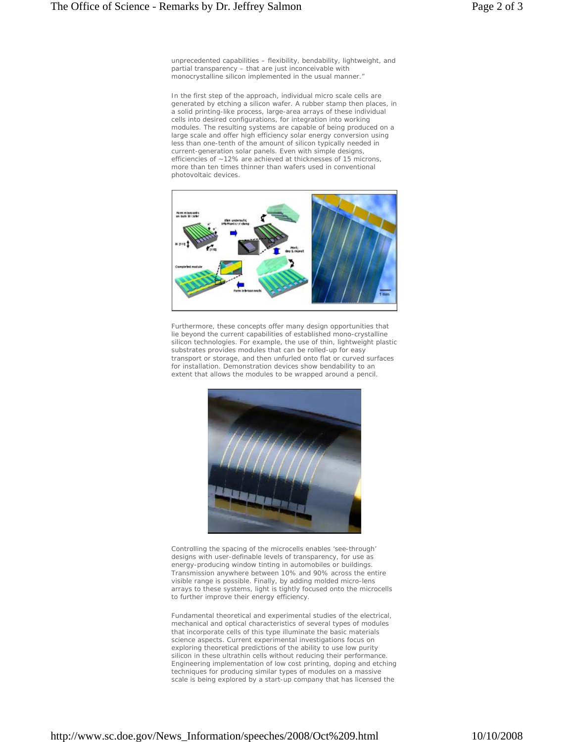unprecedented capabilities – flexibility, bendability, lightweight, and partial transparency – that are just inconceivable with monocrystalline silicon implemented in the usual manner."

In the first step of the approach, individual micro scale cells are generated by etching a silicon wafer. A rubber stamp then places, in a solid printing-like process, large-area arrays of these individual cells into desired configurations, for integration into working modules. The resulting systems are capable of being produced on a large scale and offer high efficiency solar energy conversion using less than one-tenth of the amount of silicon typically needed in current-generation solar panels. Even with simple designs, efficiencies of ~12% are achieved at thicknesses of 15 microns, more than ten times thinner than wafers used in conventional photovoltaic devices.



Furthermore, these concepts offer many design opportunities that lie beyond the current capabilities of established mono-crystalline silicon technologies. For example, the use of thin, lightweight plastic substrates provides modules that can be rolled-up for easy transport or storage, and then unfurled onto flat or curved surfaces for installation. Demonstration devices show bendability to an extent that allows the modules to be wrapped around a pencil.



Controlling the spacing of the microcells enables 'see-through' designs with user-definable levels of transparency, for use as energy-producing window tinting in automobiles or buildings. Transmission anywhere between 10% and 90% across the entire visible range is possible. Finally, by adding molded micro-lens arrays to these systems, light is tightly focused onto the microcells to further improve their energy efficiency.

Fundamental theoretical and experimental studies of the electrical, mechanical and optical characteristics of several types of modules that incorporate cells of this type illuminate the basic materials science aspects. Current experimental investigations focus on exploring theoretical predictions of the ability to use low purity silicon in these ultrathin cells without reducing their performance. Engineering implementation of low cost printing, doping and etching techniques for producing similar types of modules on a massive scale is being explored by a start-up company that has licensed the